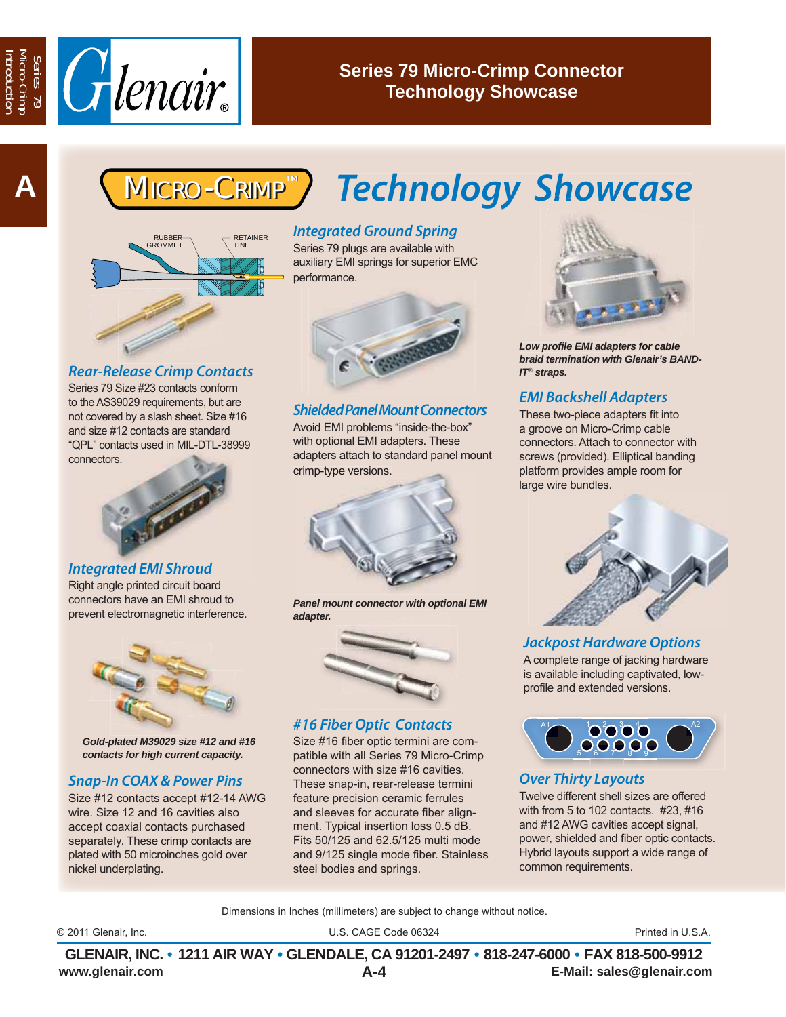

## **Series 79 Micro-Crimp Connector Technology Showcase**



#### *Rear-Release Crimp Contacts*

Series 79 Size #23 contacts conform to the AS39029 requirements, but are not covered by a slash sheet. Size #16 and size #12 contacts are standard "QPL" contacts used in MIL-DTL-38999 connectors.



#### *Integrated EMI Shroud*

Right angle printed circuit board connectors have an EMI shroud to prevent electromagnetic interference.



*Gold-plated M39029 size #12 and #16 contacts for high current capacity.*

## *Snap-In COAX & Power Pins*

Size #12 contacts accept #12-14 AWG wire. Size 12 and 16 cavities also accept coaxial contacts purchased separately. These crimp contacts are plated with 50 microinches gold over nickel underplating.

# **MICRO-CRIMP<sup>™</sup>) Technology Showcase**

### *Integrated Ground Spring*

Series 79 plugs are available with auxiliary EMI springs for superior EMC performance.



#### *Shielded Panel Mount Connectors*

Avoid EMI problems "inside-the-box" with optional EMI adapters. These adapters attach to standard panel mount crimp-type versions.



*Panel mount connector with optional EMI adapter.*

#### *#16 Fiber Optic Contacts*

Size #16 fiber optic termini are compatible with all Series 79 Micro-Crimp connectors with size #16 cavities. These snap-in, rear-release termini feature precision ceramic ferrules and sleeves for accurate fiber alignment. Typical insertion loss 0.5 dB. Fits 50/125 and 62.5/125 multi mode and 9/125 single mode fiber. Stainless steel bodies and springs.



*Low profile EMI adapters for cable braid termination with Glenair's BAND-IT® straps.*

## *EMI Backshell Adapters*

These two-piece adapters fit into a groove on Micro-Crimp cable connectors. Attach to connector with screws (provided). Elliptical banding platform provides ample room for large wire bundles.



#### *Jackpost Hardware Options*

A complete range of jacking hardware is available including captivated, lowprofile and extended versions.



#### *Over Thirty Layouts*

Twelve different shell sizes are offered with from 5 to 102 contacts. #23, #16 and #12 AWG cavities accept signal, power, shielded and fiber optic contacts. Hybrid layouts support a wide range of common requirements.

Dimensions in Inches (millimeters) are subject to change without notice.

U.S. CAGE Code 06324 © 2011 Glenair, Inc. Printed in U.S.A.

**www.glenair.com E-Mail: sales@glenair.com GLENAIR, INC. • 1211 AIR WAY • GLENDALE, CA 91201-2497 • 818-247-6000 • FAX 818-500-9912 A-4**

Introduction Micro-Crimp